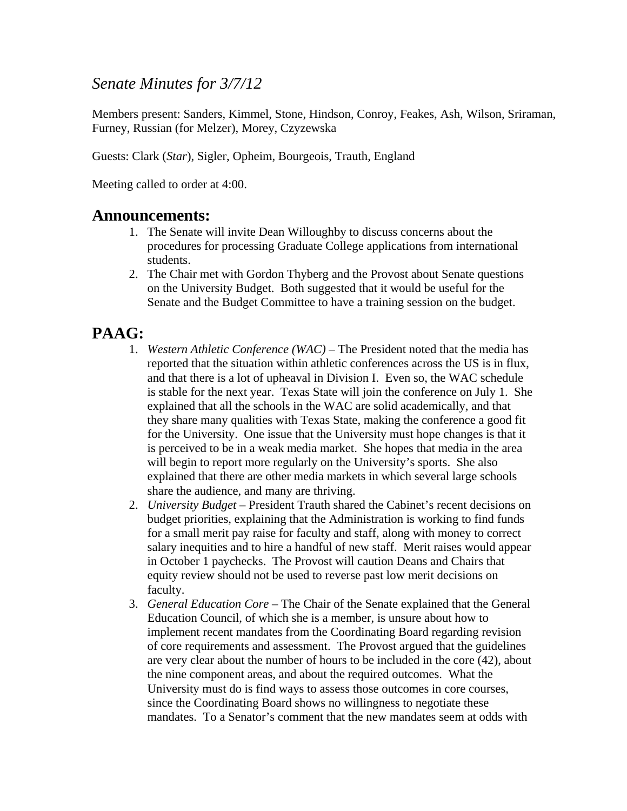### *Senate Minutes for 3/7/12*

Members present: Sanders, Kimmel, Stone, Hindson, Conroy, Feakes, Ash, Wilson, Sriraman, Furney, Russian (for Melzer), Morey, Czyzewska

Guests: Clark (*Star*), Sigler, Opheim, Bourgeois, Trauth, England

Meeting called to order at 4:00.

#### **Announcements:**

- 1. The Senate will invite Dean Willoughby to discuss concerns about the procedures for processing Graduate College applications from international students.
- 2. The Chair met with Gordon Thyberg and the Provost about Senate questions on the University Budget. Both suggested that it would be useful for the Senate and the Budget Committee to have a training session on the budget.

# **PAAG:**

- 1. *Western Athletic Conference (WAC)* The President noted that the media has reported that the situation within athletic conferences across the US is in flux, and that there is a lot of upheaval in Division I. Even so, the WAC schedule is stable for the next year. Texas State will join the conference on July 1. She explained that all the schools in the WAC are solid academically, and that they share many qualities with Texas State, making the conference a good fit for the University. One issue that the University must hope changes is that it is perceived to be in a weak media market. She hopes that media in the area will begin to report more regularly on the University's sports. She also explained that there are other media markets in which several large schools share the audience, and many are thriving.
- 2. *University Budget* President Trauth shared the Cabinet's recent decisions on budget priorities, explaining that the Administration is working to find funds for a small merit pay raise for faculty and staff, along with money to correct salary inequities and to hire a handful of new staff. Merit raises would appear in October 1 paychecks. The Provost will caution Deans and Chairs that equity review should not be used to reverse past low merit decisions on faculty.
- 3. *General Education Core* The Chair of the Senate explained that the General Education Council, of which she is a member, is unsure about how to implement recent mandates from the Coordinating Board regarding revision of core requirements and assessment. The Provost argued that the guidelines are very clear about the number of hours to be included in the core (42), about the nine component areas, and about the required outcomes. What the University must do is find ways to assess those outcomes in core courses, since the Coordinating Board shows no willingness to negotiate these mandates. To a Senator's comment that the new mandates seem at odds with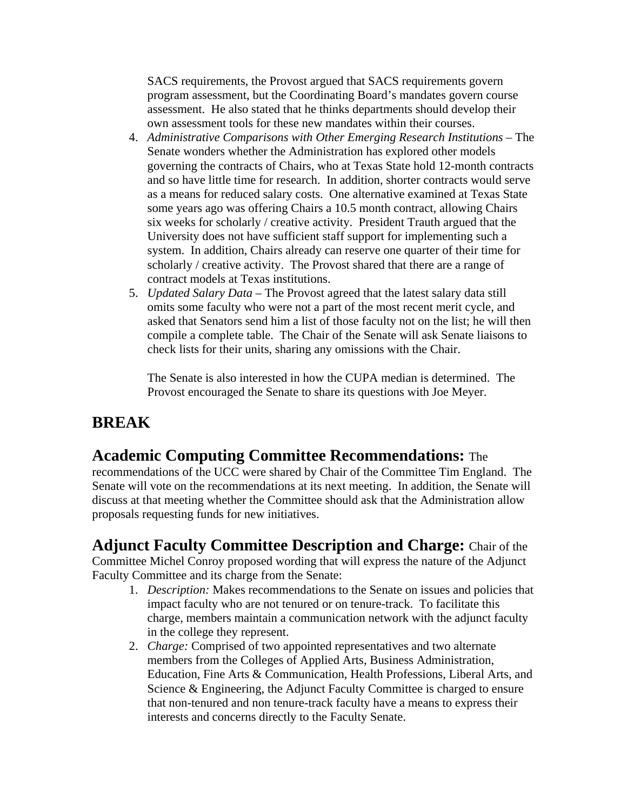SACS requirements, the Provost argued that SACS requirements govern program assessment, but the Coordinating Board's mandates govern course assessment. He also stated that he thinks departments should develop their own assessment tools for these new mandates within their courses.

- 4. *Administrative Comparisons with Other Emerging Research Institutions* The Senate wonders whether the Administration has explored other models governing the contracts of Chairs, who at Texas State hold 12-month contracts and so have little time for research. In addition, shorter contracts would serve as a means for reduced salary costs. One alternative examined at Texas State some years ago was offering Chairs a 10.5 month contract, allowing Chairs six weeks for scholarly / creative activity. President Trauth argued that the University does not have sufficient staff support for implementing such a system. In addition, Chairs already can reserve one quarter of their time for scholarly / creative activity. The Provost shared that there are a range of contract models at Texas institutions.
- 5. *Updated Salary Data*  The Provost agreed that the latest salary data still omits some faculty who were not a part of the most recent merit cycle, and asked that Senators send him a list of those faculty not on the list; he will then compile a complete table. The Chair of the Senate will ask Senate liaisons to check lists for their units, sharing any omissions with the Chair.

The Senate is also interested in how the CUPA median is determined. The Provost encouraged the Senate to share its questions with Joe Meyer.

## **BREAK**

### **Academic Computing Committee Recommendations:** The

recommendations of the UCC were shared by Chair of the Committee Tim England. The Senate will vote on the recommendations at its next meeting. In addition, the Senate will discuss at that meeting whether the Committee should ask that the Administration allow proposals requesting funds for new initiatives.

**Adjunct Faculty Committee Description and Charge:** Chair of the Committee Michel Conroy proposed wording that will express the nature of the Adjunct Faculty Committee and its charge from the Senate:

- 1. *Description:* Makes recommendations to the Senate on issues and policies that impact faculty who are not tenured or on tenure-track. To facilitate this charge, members maintain a communication network with the adjunct faculty in the college they represent.
- 2. *Charge:* Comprised of two appointed representatives and two alternate members from the Colleges of Applied Arts, Business Administration, Education, Fine Arts & Communication, Health Professions, Liberal Arts, and Science & Engineering, the Adjunct Faculty Committee is charged to ensure that non-tenured and non tenure-track faculty have a means to express their interests and concerns directly to the Faculty Senate.